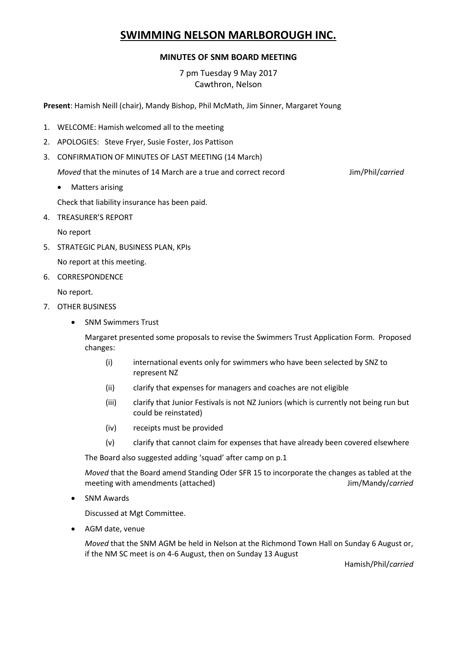# **SWIMMING NELSON MARLBOROUGH INC.**

#### **MINUTES OF SNM BOARD MEETING**

7 pm Tuesday 9 May 2017 Cawthron, Nelson

**Present**: Hamish Neill (chair), Mandy Bishop, Phil McMath, Jim Sinner, Margaret Young

- 1. WELCOME: Hamish welcomed all to the meeting
- 2. APOLOGIES: Steve Fryer, Susie Foster, Jos Pattison
- 3. CONFIRMATION OF MINUTES OF LAST MEETING (14 March)

*Moved* that the minutes of 14 March are a true and correct record Jim/Phil/*carried* 

Matters arising

Check that liability insurance has been paid.

4. TREASURER'S REPORT

No report

5. STRATEGIC PLAN, BUSINESS PLAN, KPIs

No report at this meeting.

6. CORRESPONDENCE

No report.

- 7. OTHER BUSINESS
	- SNM Swimmers Trust

Margaret presented some proposals to revise the Swimmers Trust Application Form. Proposed changes:

- (i) international events only for swimmers who have been selected by SNZ to represent NZ
- (ii) clarify that expenses for managers and coaches are not eligible
- (iii) clarify that Junior Festivals is not NZ Juniors (which is currently not being run but could be reinstated)
- (iv) receipts must be provided
- (v) clarify that cannot claim for expenses that have already been covered elsewhere

The Board also suggested adding 'squad' after camp on p.1

*Moved* that the Board amend Standing Oder SFR 15 to incorporate the changes as tabled at the meeting with amendments (attached) Jim/Mandy/*carried*

SNM Awards

Discussed at Mgt Committee.

AGM date, venue

*Moved* that the SNM AGM be held in Nelson at the Richmond Town Hall on Sunday 6 August or, if the NM SC meet is on 4-6 August, then on Sunday 13 August

Hamish/Phil/*carried*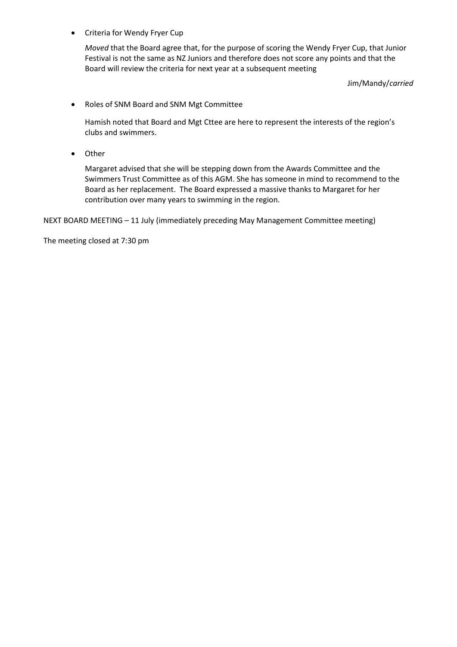Criteria for Wendy Fryer Cup

*Moved* that the Board agree that, for the purpose of scoring the Wendy Fryer Cup, that Junior Festival is not the same as NZ Juniors and therefore does not score any points and that the Board will review the criteria for next year at a subsequent meeting

Jim/Mandy/*carried*

Roles of SNM Board and SNM Mgt Committee

Hamish noted that Board and Mgt Cttee are here to represent the interests of the region's clubs and swimmers.

• Other

Margaret advised that she will be stepping down from the Awards Committee and the Swimmers Trust Committee as of this AGM. She has someone in mind to recommend to the Board as her replacement. The Board expressed a massive thanks to Margaret for her contribution over many years to swimming in the region.

NEXT BOARD MEETING – 11 July (immediately preceding May Management Committee meeting)

The meeting closed at 7:30 pm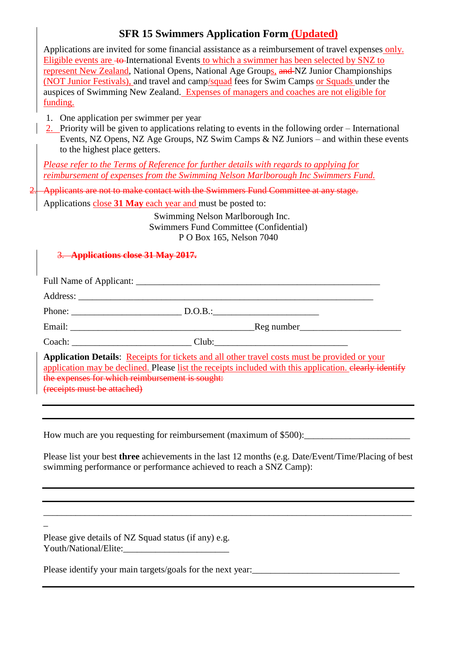# **SFR 15 Swimmers Application Form (Updated)**

Applications are invited for some financial assistance as a reimbursement of travel expenses only. Eligible events are  $\pm$ o-International Events to which a swimmer has been selected by SNZ to represent New Zealand, National Opens, National Age Groups, and NZ Junior Championships (NOT Junior Festivals), and travel and camp/squad fees for Swim Camps or Squads under the auspices of Swimming New Zealand. Expenses of managers and coaches are not eligible for funding.

- 1. One application per swimmer per year
- 2. Priority will be given to applications relating to events in the following order International Events, NZ Opens, NZ Age Groups, NZ Swim Camps & NZ Juniors – and within these events to the highest place getters.

*Please refer to the Terms of Reference for further details with regards to applying for reimbursement of expenses from the Swimming Nelson Marlborough Inc Swimmers Fund.*

2. Applicants are not to make contact with the Swimmers Fund Committee at any stage.

Applications close **31 May** each year and must be posted to:

Swimming Nelson Marlborough Inc. Swimmers Fund Committee (Confidential) P O Box 165, Nelson 7040

### 3. **Applications close 31 May 2017.**

|                             | Full Name of Applicant:                         |                                                                                                                                                                                                         |
|-----------------------------|-------------------------------------------------|---------------------------------------------------------------------------------------------------------------------------------------------------------------------------------------------------------|
|                             |                                                 |                                                                                                                                                                                                         |
|                             | Phone: D.O.B.:                                  |                                                                                                                                                                                                         |
|                             |                                                 | Reg number                                                                                                                                                                                              |
|                             | Coach: Club: Club:                              |                                                                                                                                                                                                         |
| (receipts must be attached) | the expenses for which reimbursement is sought: | Application Details: Receipts for tickets and all other travel costs must be provided or your<br>application may be declined. Please list the receipts included with this application, elearly identify |

How much are you requesting for reimbursement (maximum of \$500):

Please list your best **three** achievements in the last 12 months (e.g. Date/Event/Time/Placing of best swimming performance or performance achieved to reach a SNZ Camp):

\_\_\_\_\_\_\_\_\_\_\_\_\_\_\_\_\_\_\_\_\_\_\_\_\_\_\_\_\_\_\_\_\_\_\_\_\_\_\_\_\_\_\_\_\_\_\_\_\_\_\_\_\_\_\_\_\_\_\_\_\_\_\_\_\_\_\_\_\_\_\_\_\_\_\_\_\_\_\_\_

Please give details of NZ Squad status (if any) e.g. Youth/National/Elite:

 $\overline{a}$ 

Please identify your main targets/goals for the next year:\_\_\_\_\_\_\_\_\_\_\_\_\_\_\_\_\_\_\_\_\_\_\_